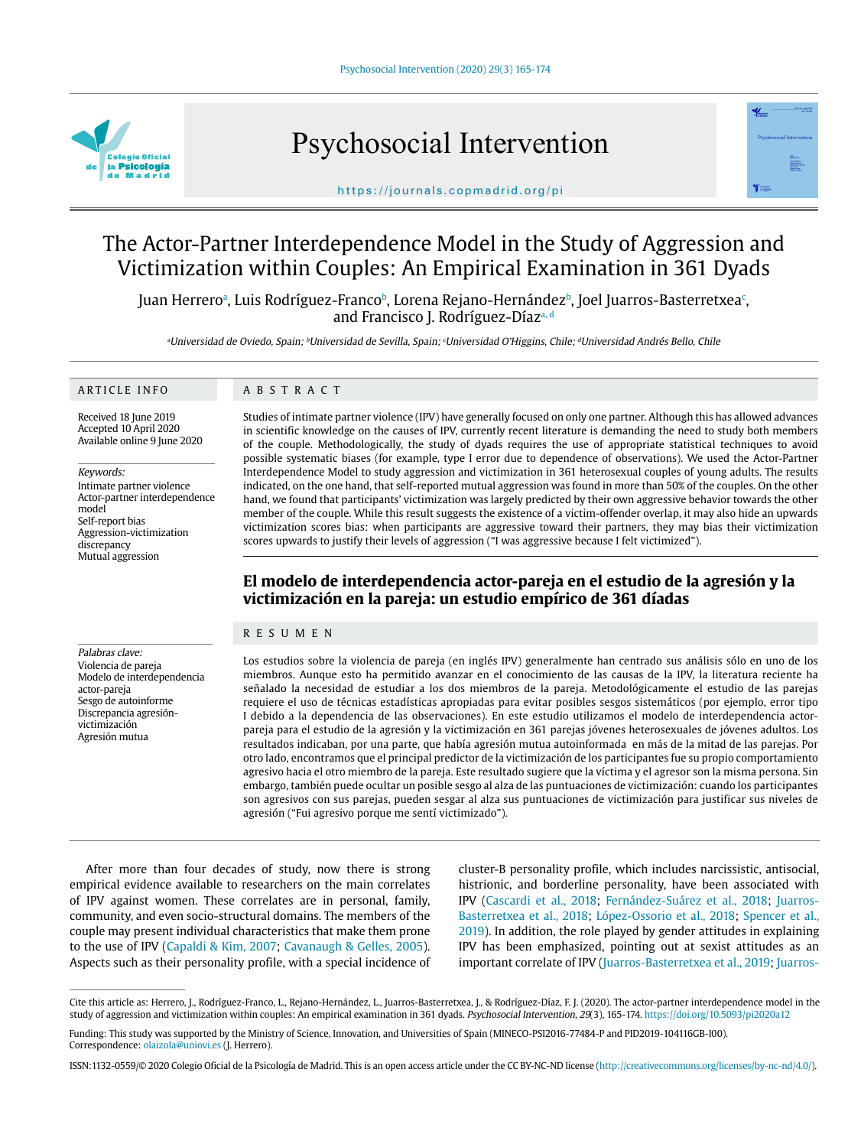

# Psychosocial Intervention



## https://journals.copmadrid.org/pi

# The Actor-Partner Interdependence Model in the Study of Aggression and Victimization within Couples: An Empirical Examination in 361 Dyads

Juan Herreroª, Luis Rodríguez-Francoʰ, Lorena Rejano-Hernándezʰ, Joel Juarros-Basterretxeaʿ, and Francisco J. Rodríguez-Díaza, d

aUniversidad de Oviedo, Spain; <sup>b</sup>Universidad de Sevilla, Spain; <sup>c</sup>Universidad O'Higgins, Chile; <sup>d</sup>Universidad Andrés Bello, Chile

#### ARTICLE INFO

#### ABSTRACT

Received 18 June 2019 Accepted 10 April 2020 Available online 9 June 2020

Keywords: Intimate partner violence Actor-partner interdependence model Self-report bias Aggression-victimization discrepancy Mutual aggression

Palabras clave: Violencia de pareja Modelo de interdependencia actor-pareja Sesgo de autoinforme Discrepancia agresiónvictimización Agresión mutua

Studies of intimate partner violence (IPV) have generally focused on only one partner. Although this has allowed advances in scientific knowledge on the causes of IPV, currently recent literature is demanding the need to study both members of the couple. Methodologically, the study of dyads requires the use of appropriate statistical techniques to avoid possible systematic biases (for example, type I error due to dependence of observations). We used the Actor-Partner Interdependence Model to study aggression and victimization in 361 heterosexual couples of young adults. The results indicated, on the one hand, that self-reported mutual aggression was found in more than 50% of the couples. On the other hand, we found that participants' victimization was largely predicted by their own aggressive behavior towards the other member of the couple. While this result suggests the existence of a victim-offender overlap, it may also hide an upwards victimization scores bias: when participants are aggressive toward their partners, they may bias their victimization scores upwards to justify their levels of aggression ("I was aggressive because I felt victimized").

# **El modelo de interdependencia actor-pareja en el estudio de la agresión y la victimización en la pareja: un estudio empírico de 361 díadas**

#### RESUMEN

Los estudios sobre la violencia de pareja (en inglés IPV) generalmente han centrado sus análisis sólo en uno de los miembros. Aunque esto ha permitido avanzar en el conocimiento de las causas de la IPV, la literatura reciente ha señalado la necesidad de estudiar a los dos miembros de la pareja. Metodológicamente el estudio de las parejas requiere el uso de técnicas estadísticas apropiadas para evitar posibles sesgos sistemáticos (por ejemplo, error tipo I debido a la dependencia de las observaciones). En este estudio utilizamos el modelo de interdependencia actorpareja para el estudio de la agresión y la victimización en 361 parejas jóvenes heterosexuales de jóvenes adultos. Los resultados indicaban, por una parte, que había agresión mutua autoinformada en más de la mitad de las parejas. Por otro lado, encontramos que el principal predictor de la victimización de los participantes fue su propio comportamiento agresivo hacia el otro miembro de la pareja. Este resultado sugiere que la víctima y el agresor son la misma persona. Sin embargo, también puede ocultar un posible sesgo al alza de las puntuaciones de victimización: cuando los participantes son agresivos con sus parejas, pueden sesgar al alza sus puntuaciones de victimización para justificar sus niveles de agresión ("Fui agresivo porque me sentí victimizado").

After more than four decades of study, now there is strong empirical evidence available to researchers on the main correlates of IPV against women. These correlates are in personal, family, community, and even socio-structural domains. The members of the couple may present individual characteristics that make them prone to the use of IPV (Capaldi & Kim, 2007; Cavanaugh & Gelles, 2005). Aspects such as their personality profile, with a special incidence of cluster-B personality profile, which includes narcissistic, antisocial, histrionic, and borderline personality, have been associated with IPV (Cascardi et al., 2018; Fernández-Suárez et al., 2018; Juarros-Basterretxea et al., 2018; López-Ossorio et al., 2018; Spencer et al., 2019). In addition, the role played by gender attitudes in explaining IPV has been emphasized, pointing out at sexist attitudes as an important correlate of IPV (Juarros-Basterretxea et al., 2019; Juarros-

Cite this article as: Herrero, J., Rodríguez-Franco, L., Rejano-Hernández, L., Juarros-Basterretxea, J., & Rodríguez-Díaz, F. J. (2020). The actor-partner interdependence model in the study of aggression and victimization within couples: An empirical examination in 361 dyads. Psychosocial Intervention, 29(3), 165-174. https://doi.org/10.5093/pi2020a12

Funding: This study was supported by the Ministry of Science, Innovation, and Universities of Spain (MINECO-PSI2016-77484-P and PID2019-104116GB-I00). Correspondence: olaizola@uniovi.es (J. Herrero).

ISSN:1132-0559/© 2020 Colegio Oficial de la Psicología de Madrid. This is an open access article under the CC BY-NC-ND license (http://creativecommons.org/licenses/by-nc-nd/4.0/).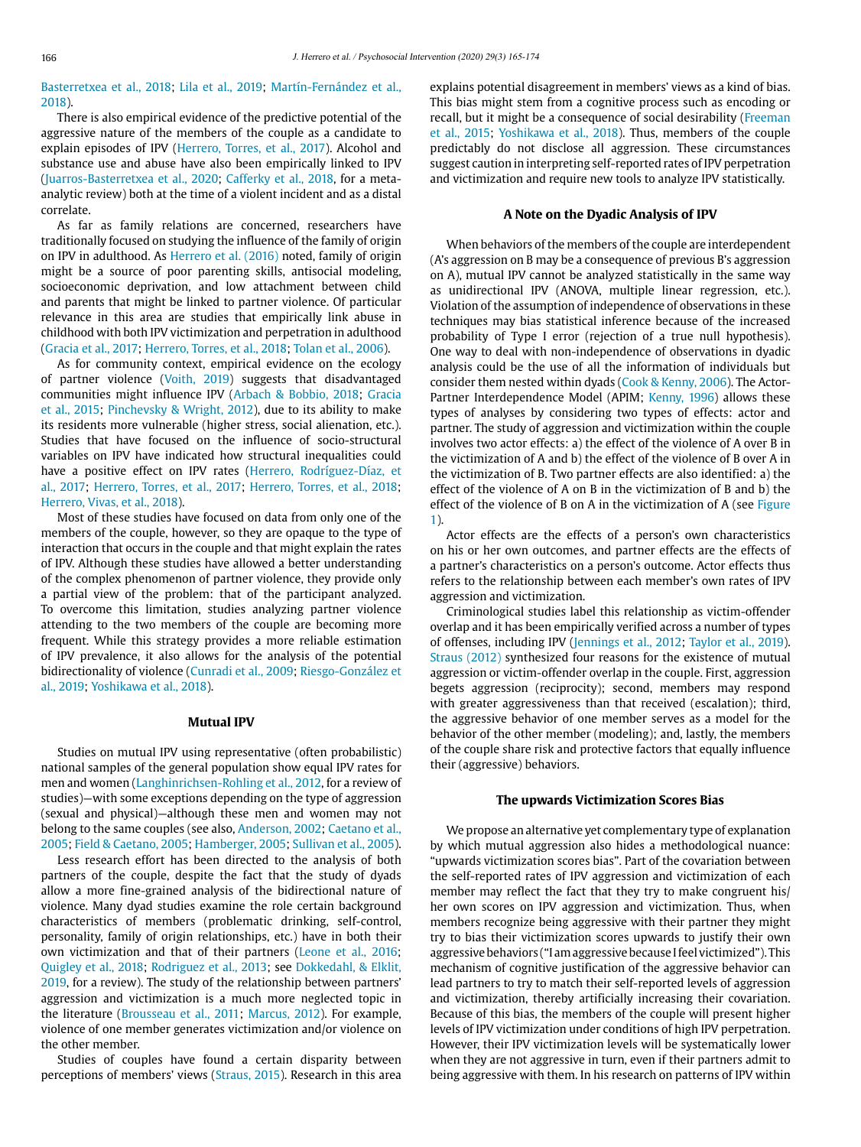Basterretxea et al., 2018; Lila et al., 2019; Martín-Fernández et al., 2018).

There is also empirical evidence of the predictive potential of the aggressive nature of the members of the couple as a candidate to explain episodes of IPV (Herrero, Torres, et al., 2017). Alcohol and substance use and abuse have also been empirically linked to IPV (Juarros-Basterretxea et al., 2020; Cafferky et al., 2018, for a metaanalytic review) both at the time of a violent incident and as a distal correlate.

As far as family relations are concerned, researchers have traditionally focused on studying the influence of the family of origin on IPV in adulthood. As Herrero et al. (2016) noted, family of origin might be a source of poor parenting skills, antisocial modeling, socioeconomic deprivation, and low attachment between child and parents that might be linked to partner violence. Of particular relevance in this area are studies that empirically link abuse in childhood with both IPV victimization and perpetration in adulthood (Gracia et al., 2017; Herrero, Torres, et al., 2018; Tolan et al., 2006).

As for community context, empirical evidence on the ecology of partner violence (Voith, 2019) suggests that disadvantaged communities might influence IPV (Arbach & Bobbio, 2018; Gracia et al., 2015; Pinchevsky & Wright, 2012), due to its ability to make its residents more vulnerable (higher stress, social alienation, etc.). Studies that have focused on the influence of socio-structural variables on IPV have indicated how structural inequalities could have a positive effect on IPV rates (Herrero, Rodríguez-Díaz, et al., 2017; Herrero, Torres, et al., 2017; Herrero, Torres, et al., 2018; Herrero, Vivas, et al., 2018).

Most of these studies have focused on data from only one of the members of the couple, however, so they are opaque to the type of interaction that occurs in the couple and that might explain the rates of IPV. Although these studies have allowed a better understanding of the complex phenomenon of partner violence, they provide only a partial view of the problem: that of the participant analyzed. To overcome this limitation, studies analyzing partner violence attending to the two members of the couple are becoming more frequent. While this strategy provides a more reliable estimation of IPV prevalence, it also allows for the analysis of the potential bidirectionality of violence (Cunradi et al., 2009; Riesgo-González et al., 2019; Yoshikawa et al., 2018).

#### **Mutual IPV**

Studies on mutual IPV using representative (often probabilistic) national samples of the general population show equal IPV rates for men and women (Langhinrichsen-Rohling et al., 2012, for a review of studies)—with some exceptions depending on the type of aggression (sexual and physical)—although these men and women may not belong to the same couples (see also, Anderson, 2002; Caetano et al., 2005; Field & Caetano, 2005; Hamberger, 2005; Sullivan et al., 2005).

Less research effort has been directed to the analysis of both partners of the couple, despite the fact that the study of dyads allow a more fine-grained analysis of the bidirectional nature of violence. Many dyad studies examine the role certain background characteristics of members (problematic drinking, self-control, personality, family of origin relationships, etc.) have in both their own victimization and that of their partners (Leone et al., 2016; Quigley et al., 2018; Rodriguez et al., 2013; see Dokkedahl, & Elklit, 2019, for a review). The study of the relationship between partners' aggression and victimization is a much more neglected topic in the literature (Brousseau et al., 2011; Marcus, 2012). For example, violence of one member generates victimization and/or violence on the other member.

Studies of couples have found a certain disparity between perceptions of members' views (Straus, 2015). Research in this area explains potential disagreement in members' views as a kind of bias. This bias might stem from a cognitive process such as encoding or recall, but it might be a consequence of social desirability (Freeman et al., 2015; Yoshikawa et al., 2018). Thus, members of the couple predictably do not disclose all aggression. These circumstances suggest caution in interpreting self-reported rates of IPV perpetration and victimization and require new tools to analyze IPV statistically.

#### **A Note on the Dyadic Analysis of IPV**

When behaviors of the members of the couple are interdependent (A's aggression on B may be a consequence of previous B's aggression on A), mutual IPV cannot be analyzed statistically in the same way as unidirectional IPV (ANOVA, multiple linear regression, etc.). Violation of the assumption of independence of observations in these techniques may bias statistical inference because of the increased probability of Type I error (rejection of a true null hypothesis). One way to deal with non-independence of observations in dyadic analysis could be the use of all the information of individuals but consider them nested within dyads (Cook & Kenny, 2006). The Actor-Partner Interdependence Model (APIM; Kenny, 1996) allows these types of analyses by considering two types of effects: actor and partner. The study of aggression and victimization within the couple involves two actor effects: a) the effect of the violence of A over B in the victimization of A and b) the effect of the violence of B over A in the victimization of B. Two partner effects are also identified: a) the effect of the violence of A on B in the victimization of B and b) the effect of the violence of B on A in the victimization of A (see Figure 1).

Actor effects are the effects of a person's own characteristics on his or her own outcomes, and partner effects are the effects of a partner's characteristics on a person's outcome. Actor effects thus refers to the relationship between each member's own rates of IPV aggression and victimization.

Criminological studies label this relationship as victim-offender overlap and it has been empirically verified across a number of types of offenses, including IPV (Jennings et al., 2012; Taylor et al., 2019). Straus (2012) synthesized four reasons for the existence of mutual aggression or victim-offender overlap in the couple. First, aggression begets aggression (reciprocity); second, members may respond with greater aggressiveness than that received (escalation); third, the aggressive behavior of one member serves as a model for the behavior of the other member (modeling); and, lastly, the members of the couple share risk and protective factors that equally influence their (aggressive) behaviors.

#### **The upwards Victimization Scores Bias**

We propose an alternative yet complementary type of explanation by which mutual aggression also hides a methodological nuance: "upwards victimization scores bias". Part of the covariation between the self-reported rates of IPV aggression and victimization of each member may reflect the fact that they try to make congruent his/ her own scores on IPV aggression and victimization. Thus, when members recognize being aggressive with their partner they might try to bias their victimization scores upwards to justify their own aggressive behaviors ("I am aggressive because I feel victimized"). This mechanism of cognitive justification of the aggressive behavior can lead partners to try to match their self-reported levels of aggression and victimization, thereby artificially increasing their covariation. Because of this bias, the members of the couple will present higher levels of IPV victimization under conditions of high IPV perpetration. However, their IPV victimization levels will be systematically lower when they are not aggressive in turn, even if their partners admit to being aggressive with them. In his research on patterns of IPV within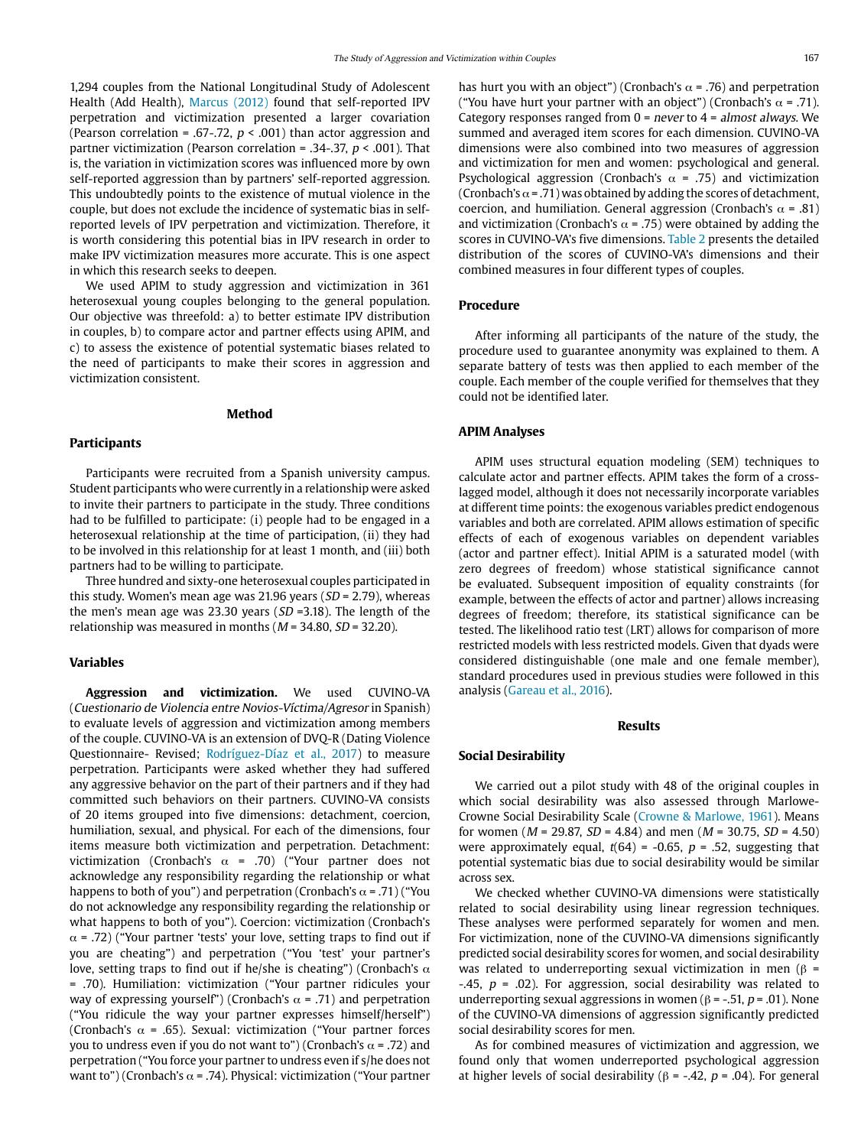1,294 couples from the National Longitudinal Study of Adolescent Health (Add Health), Marcus (2012) found that self-reported IPV perpetration and victimization presented a larger covariation (Pearson correlation = .67-.72,  $p < .001$ ) than actor aggression and partner victimization (Pearson correlation = .34-.37,  $p < .001$ ). That is, the variation in victimization scores was influenced more by own self-reported aggression than by partners' self-reported aggression. This undoubtedly points to the existence of mutual violence in the couple, but does not exclude the incidence of systematic bias in selfreported levels of IPV perpetration and victimization. Therefore, it is worth considering this potential bias in IPV research in order to make IPV victimization measures more accurate. This is one aspect in which this research seeks to deepen.

We used APIM to study aggression and victimization in 361 heterosexual young couples belonging to the general population. Our objective was threefold: a) to better estimate IPV distribution in couples, b) to compare actor and partner effects using APIM, and c) to assess the existence of potential systematic biases related to the need of participants to make their scores in aggression and victimization consistent.

#### **Method**

#### **Participants**

Participants were recruited from a Spanish university campus. Student participants who were currently in a relationship were asked to invite their partners to participate in the study. Three conditions had to be fulfilled to participate: (i) people had to be engaged in a heterosexual relationship at the time of participation, (ii) they had to be involved in this relationship for at least 1 month, and (iii) both partners had to be willing to participate.

Three hundred and sixty-one heterosexual couples participated in this study. Women's mean age was 21.96 years ( $SD = 2.79$ ), whereas the men's mean age was 23.30 years ( $SD = 3.18$ ). The length of the relationship was measured in months ( $M = 34.80$ ,  $SD = 32.20$ ).

#### **Variables**

**Aggression and victimization.** We used CUVINO-VA (Cuestionario de Violencia entre Novios-Víctima/Agresor in Spanish) to evaluate levels of aggression and victimization among members of the couple. CUVINO-VA is an extension of DVQ-R (Dating Violence Questionnaire- Revised; Rodríguez-Díaz et al., 2017) to measure perpetration. Participants were asked whether they had suffered any aggressive behavior on the part of their partners and if they had committed such behaviors on their partners. CUVINO-VA consists of 20 items grouped into five dimensions: detachment, coercion, humiliation, sexual, and physical. For each of the dimensions, four items measure both victimization and perpetration. Detachment: victimization (Cronbach's  $\alpha$  = .70) ("Your partner does not acknowledge any responsibility regarding the relationship or what happens to both of you") and perpetration (Cronbach's  $\alpha$  = .71) ("You do not acknowledge any responsibility regarding the relationship or what happens to both of you"). Coercion: victimization (Cronbach's  $\alpha$  = .72) ("Your partner 'tests' your love, setting traps to find out if you are cheating") and perpetration ("You 'test' your partner's love, setting traps to find out if he/she is cheating") (Cronbach's  $\alpha$ = .70). Humiliation: victimization ("Your partner ridicules your way of expressing yourself") (Cronbach's  $\alpha$  = .71) and perpetration ("You ridicule the way your partner expresses himself/herself") (Cronbach's  $\alpha$  = .65). Sexual: victimization ("Your partner forces you to undress even if you do not want to") (Cronbach's  $\alpha$  = .72) and perpetration ("You force your partner to undress even if s/he does not want to") (Cronbach's  $\alpha$  = .74). Physical: victimization ("Your partner

has hurt you with an object") (Cronbach's  $\alpha$  = .76) and perpetration ("You have hurt your partner with an object") (Cronbach's  $\alpha$  = .71). Category responses ranged from  $0 =$  never to  $4 =$  almost always. We summed and averaged item scores for each dimension. CUVINO-VA dimensions were also combined into two measures of aggression and victimization for men and women: psychological and general. Psychological aggression (Cronbach's  $\alpha$  = .75) and victimization (Cronbach's  $\alpha$  = .71) was obtained by adding the scores of detachment, coercion, and humiliation. General aggression (Cronbach's  $\alpha$  = .81) and victimization (Cronbach's  $\alpha$  = .75) were obtained by adding the scores in CUVINO-VA's five dimensions. Table 2 presents the detailed distribution of the scores of CUVINO-VA's dimensions and their combined measures in four different types of couples.

#### **Procedure**

After informing all participants of the nature of the study, the procedure used to guarantee anonymity was explained to them. A separate battery of tests was then applied to each member of the couple. Each member of the couple verified for themselves that they could not be identified later.

# **APIM Analyses**

APIM uses structural equation modeling (SEM) techniques to calculate actor and partner effects. APIM takes the form of a crosslagged model, although it does not necessarily incorporate variables at different time points: the exogenous variables predict endogenous variables and both are correlated. APIM allows estimation of specific effects of each of exogenous variables on dependent variables (actor and partner effect). Initial APIM is a saturated model (with zero degrees of freedom) whose statistical significance cannot be evaluated. Subsequent imposition of equality constraints (for example, between the effects of actor and partner) allows increasing degrees of freedom; therefore, its statistical significance can be tested. The likelihood ratio test (LRT) allows for comparison of more restricted models with less restricted models. Given that dyads were considered distinguishable (one male and one female member), standard procedures used in previous studies were followed in this analysis (Gareau et al., 2016).

#### **Results**

#### **Social Desirability**

We carried out a pilot study with 48 of the original couples in which social desirability was also assessed through Marlowe-Crowne Social Desirability Scale (Crowne & Marlowe, 1961). Means for women ( $M = 29.87$ ,  $SD = 4.84$ ) and men ( $M = 30.75$ ,  $SD = 4.50$ ) were approximately equal,  $t(64) = -0.65$ ,  $p = .52$ , suggesting that potential systematic bias due to social desirability would be similar across sex.

We checked whether CUVINO-VA dimensions were statistically related to social desirability using linear regression techniques. These analyses were performed separately for women and men. For victimization, none of the CUVINO-VA dimensions significantly predicted social desirability scores for women, and social desirability was related to underreporting sexual victimization in men (β =  $-45$ ,  $p = .02$ ). For aggression, social desirability was related to underreporting sexual aggressions in women ( $β = -0.51$ ,  $p = 0.01$ ). None of the CUVINO-VA dimensions of aggression significantly predicted social desirability scores for men.

As for combined measures of victimization and aggression, we found only that women underreported psychological aggression at higher levels of social desirability ( $β = -.42$ ,  $p = .04$ ). For general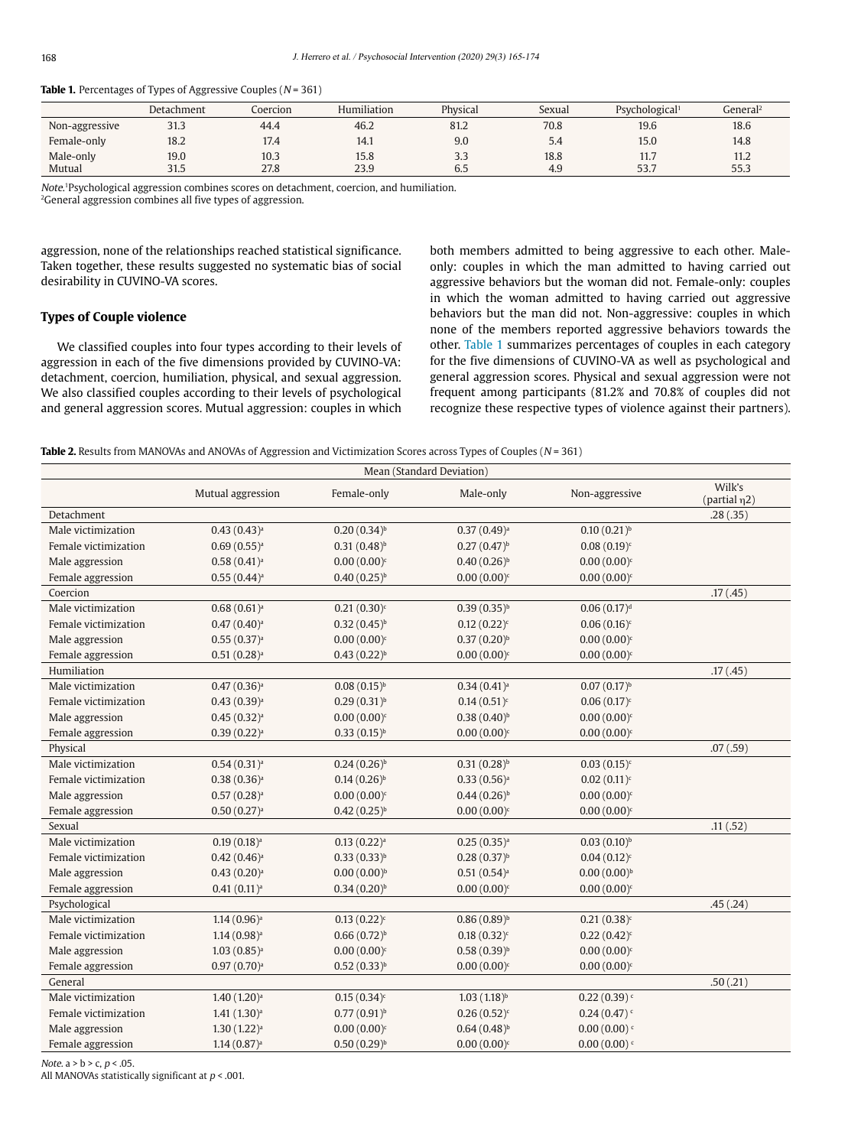|                | Detachment | Coercion | Humiliation | Physical             | Sexual | Psychological <sup>1</sup> | General <sup>2</sup> |
|----------------|------------|----------|-------------|----------------------|--------|----------------------------|----------------------|
| Non-aggressive | 31.3       | 44.4     | 46.2        | 81.2                 | 70.8   | 19.6                       | 18.6                 |
| Female-only    | 18.2       | 17.4     | 14.1        | 9.0                  | 5.4    | 15.0                       | 14.8                 |
| Male-only      | 19.0       | 10.3     | 15.8        | 3.3                  | 18.8   | 11.7                       | 11.2                 |
| Mutual         | 31.5       | 27.8     | 23.9        | $\sim$ $\sim$<br>ხ.5 | 4.9    | 53.7                       | 55.3                 |

Table 1. Percentages of Types of Aggressive Couples (N = 361)

Note. 1Psychological aggression combines scores on detachment, coercion, and humiliation.

2General aggression combines all five types of aggression.

aggression, none of the relationships reached statistical significance. Taken together, these results suggested no systematic bias of social desirability in CUVINO-VA scores.

# **Types of Couple violence**

We classified couples into four types according to their levels of aggression in each of the five dimensions provided by CUVINO-VA: detachment, coercion, humiliation, physical, and sexual aggression. We also classified couples according to their levels of psychological and general aggression scores. Mutual aggression: couples in which both members admitted to being aggressive to each other. Maleonly: couples in which the man admitted to having carried out aggressive behaviors but the woman did not. Female-only: couples in which the woman admitted to having carried out aggressive behaviors but the man did not. Non-aggressive: couples in which none of the members reported aggressive behaviors towards the other. Table 1 summarizes percentages of couples in each category for the five dimensions of CUVINO-VA as well as psychological and general aggression scores. Physical and sexual aggression were not frequent among participants (81.2% and 70.8% of couples did not recognize these respective types of violence against their partners).

**Table 2.** Results from MANOVAs and ANOVAs of Aggression and Victimization Scores across Types of Couples (N = 361)

| Mean (Standard Deviation) |                           |                         |                           |                           |                              |  |  |
|---------------------------|---------------------------|-------------------------|---------------------------|---------------------------|------------------------------|--|--|
|                           | Mutual aggression         | Female-only             | Male-only                 | Non-aggressive            | Wilk's<br>(partial $\eta$ 2) |  |  |
| Detachment                |                           |                         |                           |                           | .28(.35)                     |  |  |
| Male victimization        | $0.43(0.43)^a$            | $0.20(0.34)^{b}$        | $0.37(0.49)$ <sup>a</sup> | $0.10(0.21)^{b}$          |                              |  |  |
| Female victimization      | 0.69(0.55) <sup>a</sup>   | $0.31(0.48)^{b}$        | $0.27(0.47)^{b}$          | $0.08(0.19)^c$            |                              |  |  |
| Male aggression           | 0.58(0.41) <sup>a</sup>   | $0.00(0.00)^c$          | $0.40(0.26)^{b}$          | $0.00(0.00)^c$            |                              |  |  |
| Female aggression         | $0.55(0.44)^{a}$          | $0.40(0.25)^{b}$        | $0.00(0.00)^c$            | $0.00(0.00)^c$            |                              |  |  |
| Coercion                  |                           |                         |                           |                           | .17(0.45)                    |  |  |
| Male victimization        | 0.68(0.61) <sup>a</sup>   | $0.21(0.30)^c$          | $0.39(0.35)^{b}$          | 0.06(0.17) <sup>d</sup>   |                              |  |  |
| Female victimization      | $0.47(0.40)$ <sup>a</sup> | $0.32(0.45)^{b}$        | $0.12(0.22)^c$            | $0.06(0.16)^c$            |                              |  |  |
| Male aggression           | 0.55(0.37) <sup>a</sup>   | $0.00(0.00)^c$          | $0.37(0.20)^{b}$          | $0.00(0.00)^c$            |                              |  |  |
| Female aggression         | 0.51(0.28) <sup>a</sup>   | $0.43(0.22)^{b}$        | $0.00(0.00)^c$            | $0.00(0.00)^c$            |                              |  |  |
| Humiliation               |                           |                         |                           |                           | .17(0.45)                    |  |  |
| Male victimization        | 0.47(0.36) <sup>a</sup>   | $0.08(0.15)^{b}$        | 0.34(0.41) <sup>a</sup>   | $0.07(0.17)^{b}$          |                              |  |  |
| Female victimization      | 0.43(0.39) <sup>a</sup>   | $0.29(0.31)^{b}$        | $0.14(0.51)^c$            | $0.06(0.17)^c$            |                              |  |  |
| Male aggression           | 0.45(0.32) <sup>a</sup>   | $0.00(0.00)^c$          | $0.38(0.40)^{b}$          | $0.00(0.00)^c$            |                              |  |  |
| Female aggression         | 0.39(0.22) <sup>a</sup>   | $0.33(0.15)^{b}$        | $0.00(0.00)^c$            | $0.00(0.00)^c$            |                              |  |  |
| Physical                  |                           |                         |                           |                           | .07(.59)                     |  |  |
| Male victimization        | 0.54(0.31) <sup>a</sup>   | $0.24(0.26)^{b}$        | $0.31(0.28)^{b}$          | $0.03(0.15)^c$            |                              |  |  |
| Female victimization      | 0.38(0.36) <sup>a</sup>   | $0.14(0.26)^{b}$        | 0.33(0.56) <sup>a</sup>   | $0.02(0.11)^c$            |                              |  |  |
| Male aggression           | $0.57(0.28)$ <sup>a</sup> | $0.00(0.00)^c$          | $0.44(0.26)^{b}$          | $0.00(0.00)^c$            |                              |  |  |
| Female aggression         | 0.50(0.27) <sup>a</sup>   | $0.42(0.25)^{b}$        | $0.00(0.00)^c$            | $0.00(0.00)^c$            |                              |  |  |
| Sexual                    |                           |                         |                           |                           | .11(.52)                     |  |  |
| Male victimization        | 0.19(0.18) <sup>a</sup>   | 0.13(0.22) <sup>a</sup> | 0.25(0.35) <sup>a</sup>   | $0.03(0.10)^{b}$          |                              |  |  |
| Female victimization      | $0.42(0.46)$ <sup>a</sup> | $0.33(0.33)^{b}$        | $0.28(0.37)^{b}$          | $0.04(0.12)^c$            |                              |  |  |
| Male aggression           | 0.43(0.20) <sup>a</sup>   | $0.00(0.00)^{b}$        | $0.51(0.54)^a$            | $0.00(0.00)^{b}$          |                              |  |  |
| Female aggression         | 0.41(0.11) <sup>a</sup>   | $0.34(0.20)^{b}$        | $0.00(0.00)^c$            | $0.00(0.00)^c$            |                              |  |  |
| Psychological             |                           |                         |                           |                           | .45(.24)                     |  |  |
| Male victimization        | $1.14(0.96)$ <sup>a</sup> | $0.13(0.22)^c$          | $0.86(0.89)^{b}$          | $0.21(0.38)^c$            |                              |  |  |
| Female victimization      | $1.14(0.98)^a$            | $0.66(0.72)^{b}$        | $0.18(0.32)^c$            | $0.22(0.42)^c$            |                              |  |  |
| Male aggression           | $1.03(0.85)$ <sup>a</sup> | $0.00(0.00)^c$          | $0.58(0.39)^{b}$          | $0.00(0.00)^c$            |                              |  |  |
| Female aggression         | $0.97(0.70)$ <sup>a</sup> | $0.52(0.33)^{b}$        | $0.00(0.00)^c$            | $0.00(0.00)^c$            |                              |  |  |
| General                   |                           |                         |                           |                           | .50(.21)                     |  |  |
| Male victimization        | $1.40(1.20)$ <sup>a</sup> | $0.15(0.34)^c$          | $1.03(1.18)^{b}$          | $0.22(0.39)$ <sup>c</sup> |                              |  |  |
| Female victimization      | 1.41(1.30) <sup>a</sup>   | $0.77(0.91)^{b}$        | $0.26(0.52)^c$            | 0.24(0.47)                |                              |  |  |
| Male aggression           | 1.30(1.22) <sup>a</sup>   | $0.00(0.00)^c$          | $0.64(0.48)^{b}$          | 0.00(0.00)                |                              |  |  |
| Female aggression         | $1.14(0.87)$ <sup>a</sup> | $0.50(0.29)^{b}$        | $0.00(0.00)^c$            | $0.00(0.00)^{c}$          |                              |  |  |

Note.  $a > b > c$ ,  $p < .05$ .

All MANOVAs statistically significant at  $p < .001$ .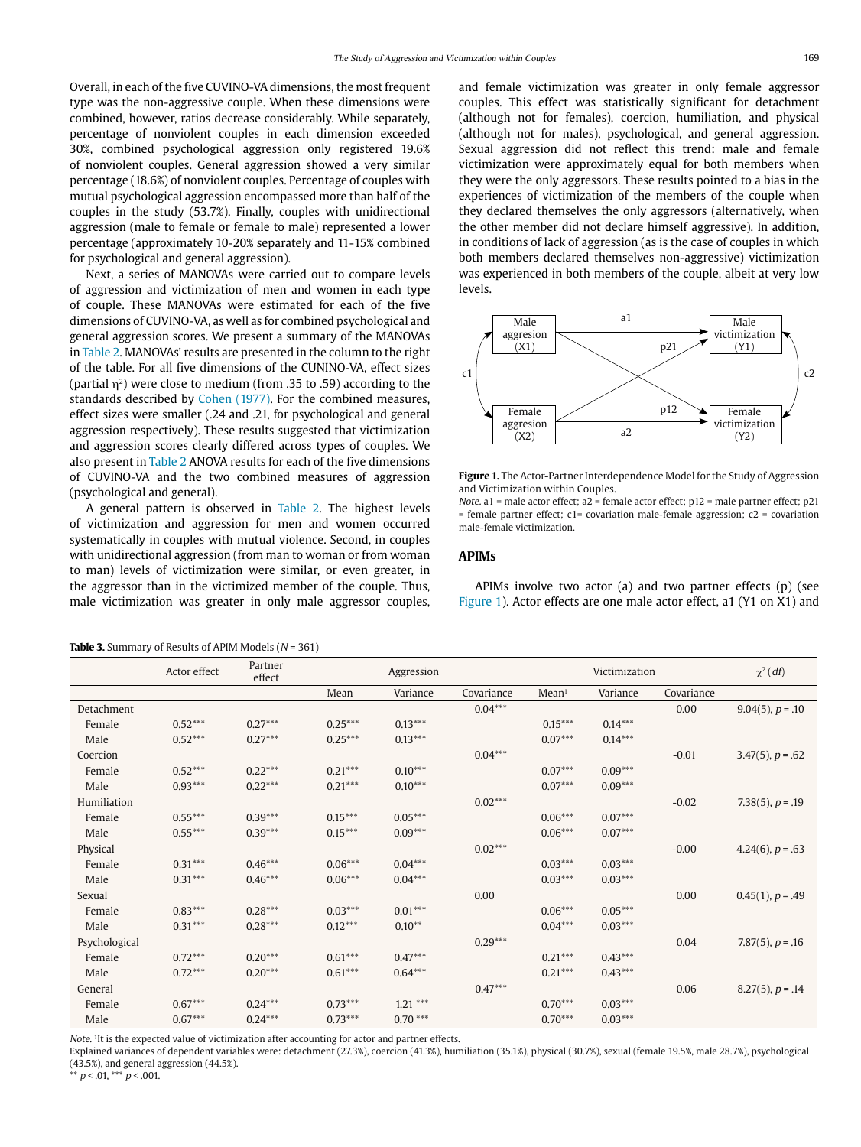Overall, in each of the five CUVINO-VA dimensions, the most frequent type was the non-aggressive couple. When these dimensions were combined, however, ratios decrease considerably. While separately, percentage of nonviolent couples in each dimension exceeded 30%, combined psychological aggression only registered 19.6% of nonviolent couples. General aggression showed a very similar percentage (18.6%) of nonviolent couples. Percentage of couples with mutual psychological aggression encompassed more than half of the couples in the study (53.7%). Finally, couples with unidirectional aggression (male to female or female to male) represented a lower percentage (approximately 10-20% separately and 11-15% combined for psychological and general aggression).

Next, a series of MANOVAs were carried out to compare levels of aggression and victimization of men and women in each type of couple. These MANOVAs were estimated for each of the five dimensions of CUVINO-VA, as well as for combined psychological and general aggression scores. We present a summary of the MANOVAs in Table 2. MANOVAs' results are presented in the column to the right of the table. For all five dimensions of the CUNINO-VA, effect sizes (partial  $\eta^2$ ) were close to medium (from .35 to .59) according to the standards described by Cohen (1977). For the combined measures, effect sizes were smaller (.24 and .21, for psychological and general aggression respectively). These results suggested that victimization and aggression scores clearly differed across types of couples. We also present in Table 2 ANOVA results for each of the five dimensions of CUVINO-VA and the two combined measures of aggression (psychological and general).

A general pattern is observed in Table 2. The highest levels of victimization and aggression for men and women occurred systematically in couples with mutual violence. Second, in couples with unidirectional aggression (from man to woman or from woman to man) levels of victimization were similar, or even greater, in the aggressor than in the victimized member of the couple. Thus, male victimization was greater in only male aggressor couples, and female victimization was greater in only female aggressor couples. This effect was statistically significant for detachment (although not for females), coercion, humiliation, and physical (although not for males), psychological, and general aggression. Sexual aggression did not reflect this trend: male and female victimization were approximately equal for both members when they were the only aggressors. These results pointed to a bias in the experiences of victimization of the members of the couple when they declared themselves the only aggressors (alternatively, when the other member did not declare himself aggressive). In addition, in conditions of lack of aggression (as is the case of couples in which both members declared themselves non-aggressive) victimization was experienced in both members of the couple, albeit at very low levels.



**Figure 1.** The Actor-Partner Interdependence Model for the Study of Aggression and Victimization within Couples.

Note. a1 = male actor effect; a2 = female actor effect;  $p12$  = male partner effect;  $p21$ = female partner effect; c1= covariation male-female aggression; c2 = covariation male-female victimization.

#### **APIMs**

APIMs involve two actor (a) and two partner effects (p) (see Figure 1). Actor effects are one male actor effect, a1 (Y1 on X1) and

**Table 3.** Summary of Results of APIM Models ( $N = 361$ )

|               | Actor effect | Partner<br>effect | Aggression |           |            | Victimization     |           |            | $\chi^2(df)$           |
|---------------|--------------|-------------------|------------|-----------|------------|-------------------|-----------|------------|------------------------|
|               |              |                   | Mean       | Variance  | Covariance | Mean <sup>1</sup> | Variance  | Covariance |                        |
| Detachment    |              |                   |            |           | $0.04***$  |                   |           | 0.00       | $9.04(5)$ , $p = .10$  |
| Female        | $0.52***$    | $0.27***$         | $0.25***$  | $0.13***$ |            | $0.15***$         | $0.14***$ |            |                        |
| Male          | $0.52***$    | $0.27***$         | $0.25***$  | $0.13***$ |            | $0.07***$         | $0.14***$ |            |                        |
| Coercion      |              |                   |            |           | $0.04***$  |                   |           | $-0.01$    | $3.47(5)$ , $p = .62$  |
| Female        | $0.52***$    | $0.22***$         | $0.21***$  | $0.10***$ |            | $0.07***$         | $0.09***$ |            |                        |
| Male          | $0.93***$    | $0.22***$         | $0.21***$  | $0.10***$ |            | $0.07***$         | $0.09***$ |            |                        |
| Humiliation   |              |                   |            |           | $0.02***$  |                   |           | $-0.02$    | 7.38 $(5)$ , $p = .19$ |
| Female        | $0.55***$    | $0.39***$         | $0.15***$  | $0.05***$ |            | $0.06***$         | $0.07***$ |            |                        |
| Male          | $0.55***$    | $0.39***$         | $0.15***$  | $0.09***$ |            | $0.06***$         | $0.07***$ |            |                        |
| Physical      |              |                   |            |           | $0.02***$  |                   |           | $-0.00$    | 4.24(6), $p = .63$     |
| Female        | $0.31***$    | $0.46***$         | $0.06***$  | $0.04***$ |            | $0.03***$         | $0.03***$ |            |                        |
| Male          | $0.31***$    | $0.46***$         | $0.06***$  | $0.04***$ |            | $0.03***$         | $0.03***$ |            |                        |
| Sexual        |              |                   |            |           | 0.00       |                   |           | 0.00       | $0.45(1)$ , $p = .49$  |
| Female        | $0.83***$    | $0.28***$         | $0.03***$  | $0.01***$ |            | $0.06***$         | $0.05***$ |            |                        |
| Male          | $0.31***$    | $0.28***$         | $0.12***$  | $0.10**$  |            | $0.04***$         | $0.03***$ |            |                        |
| Psychological |              |                   |            |           | $0.29***$  |                   |           | 0.04       | 7.87 $(5)$ , $p = .16$ |
| Female        | $0.72***$    | $0.20***$         | $0.61***$  | $0.47***$ |            | $0.21***$         | $0.43***$ |            |                        |
| Male          | $0.72***$    | $0.20***$         | $0.61***$  | $0.64***$ |            | $0.21***$         | $0.43***$ |            |                        |
| General       |              |                   |            |           | $0.47***$  |                   |           | 0.06       | $8.27(5)$ , $p = .14$  |
| Female        | $0.67***$    | $0.24***$         | $0.73***$  | $1.21***$ |            | $0.70***$         | $0.03***$ |            |                        |
| Male          | $0.67***$    | $0.24***$         | $0.73***$  | $0.70***$ |            | $0.70***$         | $0.03***$ |            |                        |

Note. 1It is the expected value of victimization after accounting for actor and partner effects.

Explained variances of dependent variables were: detachment (27.3%), coercion (41.3%), humiliation (35.1%), physical (30.7%), sexual (female 19.5%, male 28.7%), psychological (43.5%), and general aggression (44.5%).

\*\*  $p < 0.01$ , \*\*\*  $p < 0.001$ .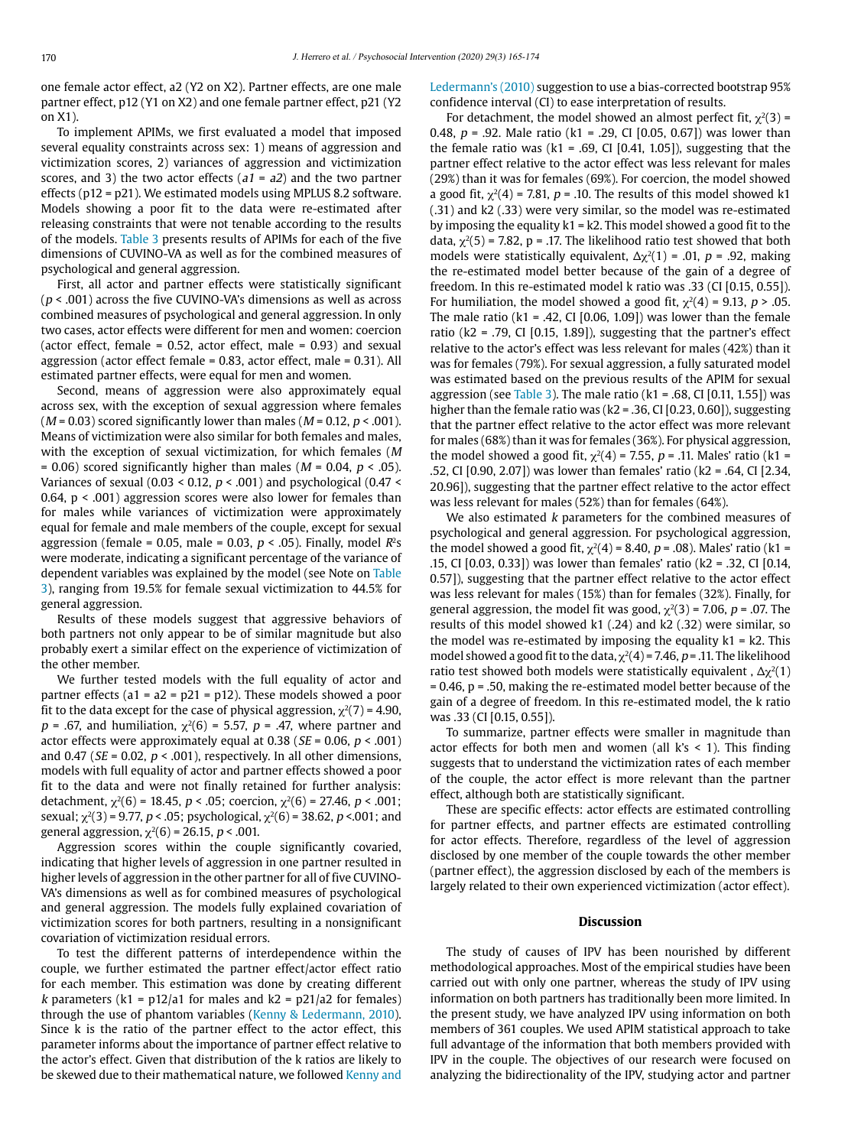one female actor effect, a2 (Y2 on X2). Partner effects, are one male partner effect, p12 (Y1 on X2) and one female partner effect, p21 (Y2 on X1).

To implement APIMs, we first evaluated a model that imposed several equality constraints across sex: 1) means of aggression and victimization scores, 2) variances of aggression and victimization scores, and 3) the two actor effects  $(a1 = a2)$  and the two partner effects (p12 = p21). We estimated models using MPLUS 8.2 software. Models showing a poor fit to the data were re-estimated after releasing constraints that were not tenable according to the results of the models. Table 3 presents results of APIMs for each of the five dimensions of CUVINO-VA as well as for the combined measures of psychological and general aggression.

First, all actor and partner effects were statistically significant  $(p < .001)$  across the five CUVINO-VA's dimensions as well as across combined measures of psychological and general aggression. In only two cases, actor effects were different for men and women: coercion (actor effect, female =  $0.52$ , actor effect, male =  $0.93$ ) and sexual aggression (actor effect female = 0.83, actor effect, male = 0.31). All estimated partner effects, were equal for men and women.

Second, means of aggression were also approximately equal across sex, with the exception of sexual aggression where females ( $M = 0.03$ ) scored significantly lower than males ( $M = 0.12$ ,  $p < .001$ ). Means of victimization were also similar for both females and males, with the exception of sexual victimization, for which females (M  $= 0.06$ ) scored significantly higher than males ( $M = 0.04$ ,  $p < .05$ ). Variances of sexual (0.03 < 0.12,  $p < .001$ ) and psychological (0.47 < 0.64,  $p < .001$ ) aggression scores were also lower for females than for males while variances of victimization were approximately equal for female and male members of the couple, except for sexual aggression (female = 0.05, male = 0.03,  $p < .05$ ). Finally, model  $R^2s$ were moderate, indicating a significant percentage of the variance of dependent variables was explained by the model (see Note on Table 3), ranging from 19.5% for female sexual victimization to 44.5% for general aggression.

Results of these models suggest that aggressive behaviors of both partners not only appear to be of similar magnitude but also probably exert a similar effect on the experience of victimization of the other member.

We further tested models with the full equality of actor and partner effects (a1 =  $a2 = p21 = p12$ ). These models showed a poor fit to the data except for the case of physical aggression,  $\chi^2(7) = 4.90$ ,  $p = .67$ , and humiliation,  $\chi^2(6) = 5.57$ ,  $p = .47$ , where partner and actor effects were approximately equal at 0.38 ( $SE = 0.06$ ,  $p < .001$ ) and 0.47 ( $SE = 0.02$ ,  $p < .001$ ), respectively. In all other dimensions, models with full equality of actor and partner effects showed a poor fit to the data and were not finally retained for further analysis: detachment,  $\chi^2(6)$  = 18.45, *p* < .05; coercion,  $\chi^2(6)$  = 27.46, *p* < .001; sexual;  $\chi^2(3)$  = 9.77, p < .05; psychological,  $\chi^2(6)$  = 38.62, p <.001; and general aggression,  $χ²(6) = 26.15, p < .001$ .

Aggression scores within the couple significantly covaried, indicating that higher levels of aggression in one partner resulted in higher levels of aggression in the other partner for all of five CUVINO-VA's dimensions as well as for combined measures of psychological and general aggression. The models fully explained covariation of victimization scores for both partners, resulting in a nonsignificant covariation of victimization residual errors.

To test the different patterns of interdependence within the couple, we further estimated the partner effect/actor effect ratio for each member. This estimation was done by creating different k parameters (k1 = p12/a1 for males and k2 = p21/a2 for females) through the use of phantom variables (Kenny & Ledermann, 2010). Since k is the ratio of the partner effect to the actor effect, this parameter informs about the importance of partner effect relative to the actor's effect. Given that distribution of the k ratios are likely to be skewed due to their mathematical nature, we followed Kenny and

Ledermann's (2010) suggestion to use a bias-corrected bootstrap 95% confidence interval (CI) to ease interpretation of results.

For detachment, the model showed an almost perfect fit,  $\chi^2(3)$  = 0.48,  $p = .92$ . Male ratio (k1 = .29, CI [0.05, 0.67]) was lower than the female ratio was  $(k1 = .69, CI [0.41, 1.05])$ , suggesting that the partner effect relative to the actor effect was less relevant for males (29%) than it was for females (69%). For coercion, the model showed a good fit,  $\chi^2(4)$  = 7.81, p = .10. The results of this model showed k1 (.31) and k2 (.33) were very similar, so the model was re-estimated by imposing the equality  $k1 = k2$ . This model showed a good fit to the data,  $\gamma^2(5)$  = 7.82, p = .17. The likelihood ratio test showed that both models were statistically equivalent,  $\Delta \chi^2(1) = .01$ ,  $p = .92$ , making the re-estimated model better because of the gain of a degree of freedom. In this re-estimated model k ratio was .33 (CI [0.15, 0.55]). For humiliation, the model showed a good fit,  $\chi^2(4) = 9.13$ ,  $p > .05$ . The male ratio ( $k1 = .42$ , CI [0.06, 1.09]) was lower than the female ratio ( $k2$  = .79, CI [0.15, 1.89]), suggesting that the partner's effect relative to the actor's effect was less relevant for males (42%) than it was for females (79%). For sexual aggression, a fully saturated model was estimated based on the previous results of the APIM for sexual aggression (see Table 3). The male ratio ( $k1 = .68$ , CI [0.11, 1.55]) was higher than the female ratio was ( $k2 = 0.36$ , CI [0.23, 0.60]), suggesting that the partner effect relative to the actor effect was more relevant for males (68%) than it was for females (36%). For physical aggression, the model showed a good fit,  $\chi^2(4) = 7.55$ ,  $p = .11$ . Males' ratio (k1 = .52, CI [0.90, 2.07]) was lower than females' ratio (k2 = .64, CI [2.34, 20.96]), suggesting that the partner effect relative to the actor effect was less relevant for males (52%) than for females (64%).

We also estimated *k* parameters for the combined measures of psychological and general aggression. For psychological aggression, the model showed a good fit,  $\chi^2(4) = 8.40$ ,  $p = .08$ ). Males' ratio (k1 = .15, CI [0.03, 0.33]) was lower than females' ratio (k2 = .32, CI [0.14, 0.57]), suggesting that the partner effect relative to the actor effect was less relevant for males (15%) than for females (32%). Finally, for general aggression, the model fit was good,  $χ<sup>2</sup>(3) = 7.06$ ,  $p = .07$ . The results of this model showed k1 (.24) and k2 (.32) were similar, so the model was re-estimated by imposing the equality  $k1 = k2$ . This model showed a good fit to the data,  $\chi^2(4)$  = 7.46, p = .11. The likelihood ratio test showed both models were statistically equivalent,  $\Delta \chi^2(1)$  $= 0.46$ ,  $p = .50$ , making the re-estimated model better because of the gain of a degree of freedom. In this re-estimated model, the k ratio was .33 (CI [0.15, 0.55]).

To summarize, partner effects were smaller in magnitude than actor effects for both men and women (all  $k's < 1$ ). This finding suggests that to understand the victimization rates of each member of the couple, the actor effect is more relevant than the partner effect, although both are statistically significant.

These are specific effects: actor effects are estimated controlling for partner effects, and partner effects are estimated controlling for actor effects. Therefore, regardless of the level of aggression disclosed by one member of the couple towards the other member (partner effect), the aggression disclosed by each of the members is largely related to their own experienced victimization (actor effect).

#### **Discussion**

The study of causes of IPV has been nourished by different methodological approaches. Most of the empirical studies have been carried out with only one partner, whereas the study of IPV using information on both partners has traditionally been more limited. In the present study, we have analyzed IPV using information on both members of 361 couples. We used APIM statistical approach to take full advantage of the information that both members provided with IPV in the couple. The objectives of our research were focused on analyzing the bidirectionality of the IPV, studying actor and partner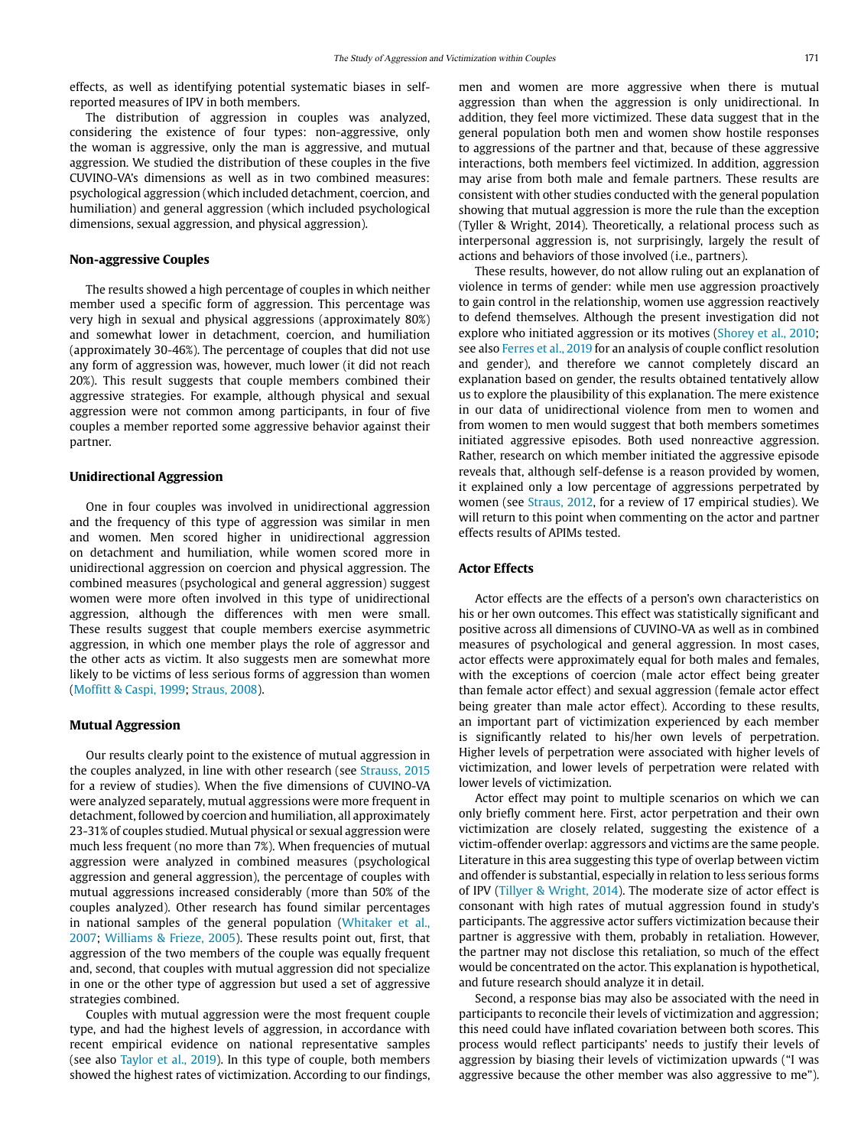effects, as well as identifying potential systematic biases in selfreported measures of IPV in both members.

The distribution of aggression in couples was analyzed, considering the existence of four types: non-aggressive, only the woman is aggressive, only the man is aggressive, and mutual aggression. We studied the distribution of these couples in the five CUVINO-VA's dimensions as well as in two combined measures: psychological aggression (which included detachment, coercion, and humiliation) and general aggression (which included psychological dimensions, sexual aggression, and physical aggression).

# **Non-aggressive Couples**

The results showed a high percentage of couples in which neither member used a specific form of aggression. This percentage was very high in sexual and physical aggressions (approximately 80%) and somewhat lower in detachment, coercion, and humiliation (approximately 30-46%). The percentage of couples that did not use any form of aggression was, however, much lower (it did not reach 20%). This result suggests that couple members combined their aggressive strategies. For example, although physical and sexual aggression were not common among participants, in four of five couples a member reported some aggressive behavior against their partner.

# **Unidirectional Aggression**

One in four couples was involved in unidirectional aggression and the frequency of this type of aggression was similar in men and women. Men scored higher in unidirectional aggression on detachment and humiliation, while women scored more in unidirectional aggression on coercion and physical aggression. The combined measures (psychological and general aggression) suggest women were more often involved in this type of unidirectional aggression, although the differences with men were small. These results suggest that couple members exercise asymmetric aggression, in which one member plays the role of aggressor and the other acts as victim. It also suggests men are somewhat more likely to be victims of less serious forms of aggression than women (Moffitt & Caspi, 1999; Straus, 2008).

#### **Mutual Aggression**

Our results clearly point to the existence of mutual aggression in the couples analyzed, in line with other research (see Strauss, 2015 for a review of studies). When the five dimensions of CUVINO-VA were analyzed separately, mutual aggressions were more frequent in detachment, followed by coercion and humiliation, all approximately 23-31% of couples studied. Mutual physical or sexual aggression were much less frequent (no more than 7%). When frequencies of mutual aggression were analyzed in combined measures (psychological aggression and general aggression), the percentage of couples with mutual aggressions increased considerably (more than 50% of the couples analyzed). Other research has found similar percentages in national samples of the general population (Whitaker et al., 2007; Williams & Frieze, 2005). These results point out, first, that aggression of the two members of the couple was equally frequent and, second, that couples with mutual aggression did not specialize in one or the other type of aggression but used a set of aggressive strategies combined.

Couples with mutual aggression were the most frequent couple type, and had the highest levels of aggression, in accordance with recent empirical evidence on national representative samples (see also Taylor et al., 2019). In this type of couple, both members showed the highest rates of victimization. According to our findings,

men and women are more aggressive when there is mutual aggression than when the aggression is only unidirectional. In addition, they feel more victimized. These data suggest that in the general population both men and women show hostile responses to aggressions of the partner and that, because of these aggressive interactions, both members feel victimized. In addition, aggression may arise from both male and female partners. These results are consistent with other studies conducted with the general population showing that mutual aggression is more the rule than the exception (Tyller & Wright, 2014). Theoretically, a relational process such as interpersonal aggression is, not surprisingly, largely the result of actions and behaviors of those involved (i.e., partners).

These results, however, do not allow ruling out an explanation of violence in terms of gender: while men use aggression proactively to gain control in the relationship, women use aggression reactively to defend themselves. Although the present investigation did not explore who initiated aggression or its motives (Shorey et al., 2010; see also Ferres et al., 2019 for an analysis of couple conflict resolution and gender), and therefore we cannot completely discard an explanation based on gender, the results obtained tentatively allow us to explore the plausibility of this explanation. The mere existence in our data of unidirectional violence from men to women and from women to men would suggest that both members sometimes initiated aggressive episodes. Both used nonreactive aggression. Rather, research on which member initiated the aggressive episode reveals that, although self-defense is a reason provided by women, it explained only a low percentage of aggressions perpetrated by women (see Straus, 2012, for a review of 17 empirical studies). We will return to this point when commenting on the actor and partner effects results of APIMs tested.

# **Actor Effects**

Actor effects are the effects of a person's own characteristics on his or her own outcomes. This effect was statistically significant and positive across all dimensions of CUVINO-VA as well as in combined measures of psychological and general aggression. In most cases, actor effects were approximately equal for both males and females, with the exceptions of coercion (male actor effect being greater than female actor effect) and sexual aggression (female actor effect being greater than male actor effect). According to these results, an important part of victimization experienced by each member is significantly related to his/her own levels of perpetration. Higher levels of perpetration were associated with higher levels of victimization, and lower levels of perpetration were related with lower levels of victimization.

Actor effect may point to multiple scenarios on which we can only briefly comment here. First, actor perpetration and their own victimization are closely related, suggesting the existence of a victim-offender overlap: aggressors and victims are the same people. Literature in this area suggesting this type of overlap between victim and offender is substantial, especially in relation to less serious forms of IPV (Tillyer & Wright, 2014). The moderate size of actor effect is consonant with high rates of mutual aggression found in study's participants. The aggressive actor suffers victimization because their partner is aggressive with them, probably in retaliation. However, the partner may not disclose this retaliation, so much of the effect would be concentrated on the actor. This explanation is hypothetical, and future research should analyze it in detail.

Second, a response bias may also be associated with the need in participants to reconcile their levels of victimization and aggression; this need could have inflated covariation between both scores. This process would reflect participants' needs to justify their levels of aggression by biasing their levels of victimization upwards ("I was aggressive because the other member was also aggressive to me").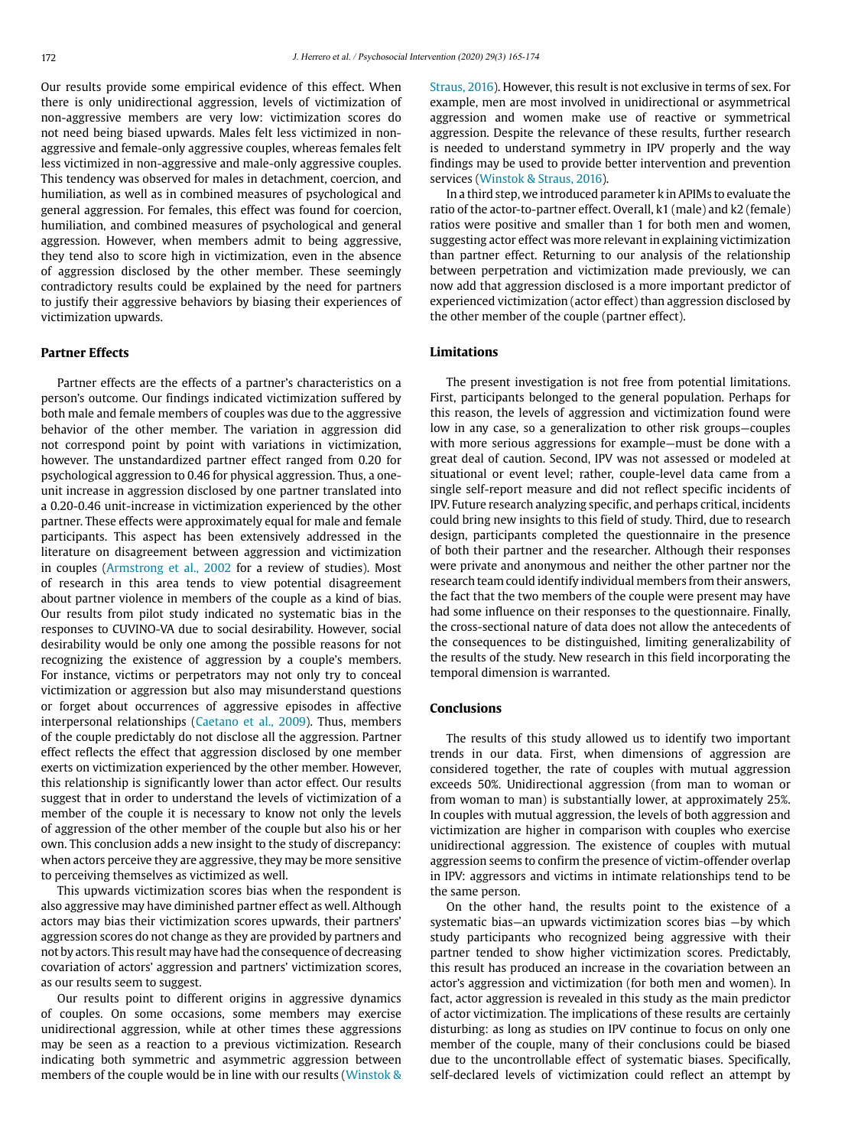Our results provide some empirical evidence of this effect. When there is only unidirectional aggression, levels of victimization of non-aggressive members are very low: victimization scores do not need being biased upwards. Males felt less victimized in nonaggressive and female-only aggressive couples, whereas females felt less victimized in non-aggressive and male-only aggressive couples. This tendency was observed for males in detachment, coercion, and humiliation, as well as in combined measures of psychological and general aggression. For females, this effect was found for coercion, humiliation, and combined measures of psychological and general aggression. However, when members admit to being aggressive, they tend also to score high in victimization, even in the absence of aggression disclosed by the other member. These seemingly contradictory results could be explained by the need for partners to justify their aggressive behaviors by biasing their experiences of victimization upwards.

#### **Partner Effects**

Partner effects are the effects of a partner's characteristics on a person's outcome. Our findings indicated victimization suffered by both male and female members of couples was due to the aggressive behavior of the other member. The variation in aggression did not correspond point by point with variations in victimization, however. The unstandardized partner effect ranged from 0.20 for psychological aggression to 0.46 for physical aggression. Thus, a oneunit increase in aggression disclosed by one partner translated into a 0.20-0.46 unit-increase in victimization experienced by the other partner. These effects were approximately equal for male and female participants. This aspect has been extensively addressed in the literature on disagreement between aggression and victimization in couples (Armstrong et al., 2002 for a review of studies). Most of research in this area tends to view potential disagreement about partner violence in members of the couple as a kind of bias. Our results from pilot study indicated no systematic bias in the responses to CUVINO-VA due to social desirability. However, social desirability would be only one among the possible reasons for not recognizing the existence of aggression by a couple's members. For instance, victims or perpetrators may not only try to conceal victimization or aggression but also may misunderstand questions or forget about occurrences of aggressive episodes in affective interpersonal relationships (Caetano et al., 2009). Thus, members of the couple predictably do not disclose all the aggression. Partner effect reflects the effect that aggression disclosed by one member exerts on victimization experienced by the other member. However, this relationship is significantly lower than actor effect. Our results suggest that in order to understand the levels of victimization of a member of the couple it is necessary to know not only the levels of aggression of the other member of the couple but also his or her own. This conclusion adds a new insight to the study of discrepancy: when actors perceive they are aggressive, they may be more sensitive to perceiving themselves as victimized as well.

This upwards victimization scores bias when the respondent is also aggressive may have diminished partner effect as well. Although actors may bias their victimization scores upwards, their partners' aggression scores do not change as they are provided by partners and not by actors. This result may have had the consequence of decreasing covariation of actors' aggression and partners' victimization scores, as our results seem to suggest.

Our results point to different origins in aggressive dynamics of couples. On some occasions, some members may exercise unidirectional aggression, while at other times these aggressions may be seen as a reaction to a previous victimization. Research indicating both symmetric and asymmetric aggression between members of the couple would be in line with our results (Winstok & Straus, 2016). However, this result is not exclusive in terms of sex. For example, men are most involved in unidirectional or asymmetrical aggression and women make use of reactive or symmetrical aggression. Despite the relevance of these results, further research is needed to understand symmetry in IPV properly and the way findings may be used to provide better intervention and prevention services (Winstok & Straus, 2016).

In a third step, we introduced parameter k in APIMs to evaluate the ratio of the actor-to-partner effect. Overall, k1 (male) and k2 (female) ratios were positive and smaller than 1 for both men and women, suggesting actor effect was more relevant in explaining victimization than partner effect. Returning to our analysis of the relationship between perpetration and victimization made previously, we can now add that aggression disclosed is a more important predictor of experienced victimization (actor effect) than aggression disclosed by the other member of the couple (partner effect).

# **Limitations**

The present investigation is not free from potential limitations. First, participants belonged to the general population. Perhaps for this reason, the levels of aggression and victimization found were low in any case, so a generalization to other risk groups—couples with more serious aggressions for example—must be done with a great deal of caution. Second, IPV was not assessed or modeled at situational or event level; rather, couple-level data came from a single self-report measure and did not reflect specific incidents of IPV. Future research analyzing specific, and perhaps critical, incidents could bring new insights to this field of study. Third, due to research design, participants completed the questionnaire in the presence of both their partner and the researcher. Although their responses were private and anonymous and neither the other partner nor the research team could identify individual members from their answers, the fact that the two members of the couple were present may have had some influence on their responses to the questionnaire. Finally, the cross-sectional nature of data does not allow the antecedents of the consequences to be distinguished, limiting generalizability of the results of the study. New research in this field incorporating the temporal dimension is warranted.

# **Conclusions**

The results of this study allowed us to identify two important trends in our data. First, when dimensions of aggression are considered together, the rate of couples with mutual aggression exceeds 50%. Unidirectional aggression (from man to woman or from woman to man) is substantially lower, at approximately 25%. In couples with mutual aggression, the levels of both aggression and victimization are higher in comparison with couples who exercise unidirectional aggression. The existence of couples with mutual aggression seems to confirm the presence of victim-offender overlap in IPV: aggressors and victims in intimate relationships tend to be the same person.

On the other hand, the results point to the existence of a systematic bias—an upwards victimization scores bias —by which study participants who recognized being aggressive with their partner tended to show higher victimization scores. Predictably, this result has produced an increase in the covariation between an actor's aggression and victimization (for both men and women). In fact, actor aggression is revealed in this study as the main predictor of actor victimization. The implications of these results are certainly disturbing: as long as studies on IPV continue to focus on only one member of the couple, many of their conclusions could be biased due to the uncontrollable effect of systematic biases. Specifically, self-declared levels of victimization could reflect an attempt by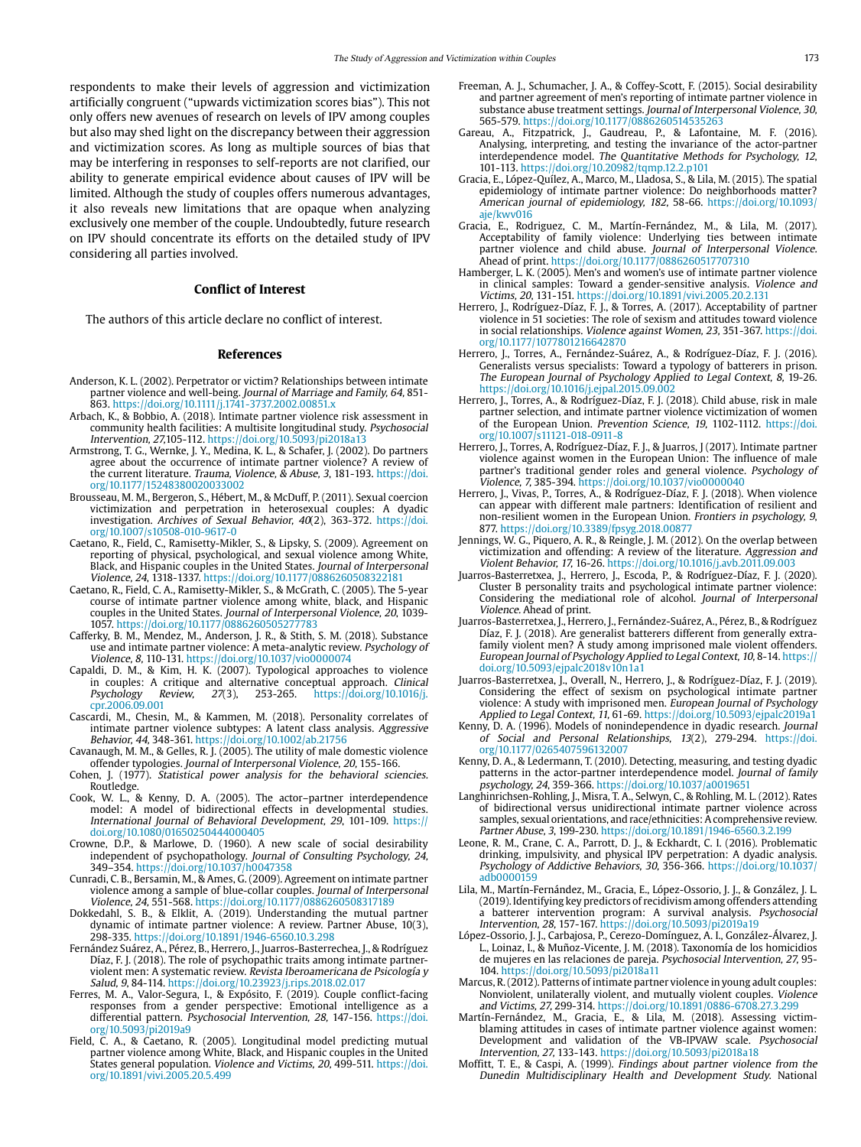respondents to make their levels of aggression and victimization artificially congruent ("upwards victimization scores bias"). This not only offers new avenues of research on levels of IPV among couples but also may shed light on the discrepancy between their aggression and victimization scores. As long as multiple sources of bias that may be interfering in responses to self-reports are not clarified, our ability to generate empirical evidence about causes of IPV will be limited. Although the study of couples offers numerous advantages, it also reveals new limitations that are opaque when analyzing exclusively one member of the couple. Undoubtedly, future research on IPV should concentrate its efforts on the detailed study of IPV considering all parties involved.

#### **Conflict of Interest**

The authors of this article declare no conflict of interest.

#### **References**

- Anderson, K. L. (2002). Perpetrator or victim? Relationships between intimate partner violence and well-being. Journal of Marriage and Family, 64, 851- 863. https://doi.org/10.1111/j.1741-3737.2002.00851.x
- Arbach, K., & Bobbio, A. (2018). Intimate partner violence risk assessment in community health facilities: A multisite longitudinal study. Psychosocial Intervention, 27,105-112. <https://doi.org/10.5093/pi2018a13>
- Armstrong, T. G., Wernke, J. Y., Medina, K. L., & Schafer, J. (2002). Do partners agree about the occurrence of intimate partner violence? A review of the current literature. Trauma, Violence, & Abuse, 3, 181-193. [https://doi.](https://doi.org/10.1177/15248380020033002) [org/10.1177/15248380020033002](https://doi.org/10.1177/15248380020033002)
- Brousseau, M. M., Bergeron, S., Hébert, M., & McDuff, P. (2011). Sexual coercion victimization and perpetration in heterosexual couples: A dyadic investigation. Archives of Sexual Behavior, 40(2), 363-372. [https://doi.](https://doi.org/10.1007/s10508-010-9617-0) [org/10.1007/s10508-010-9617-0](https://doi.org/10.1007/s10508-010-9617-0)
- Caetano, R., Field, C., Ramisetty-Mikler, S., & Lipsky, S. (2009). Agreement on reporting of physical, psychological, and sexual violence among White, Black, and Hispanic couples in the United States. Journal of Interpersonal<br>Violence, 24, 1318-1337. <https://doi.org/10.1177/0886260508322181>
- Caetano, R., Field, C. A., Ramisetty-Mikler, S., & McGrath, C. (2005). The 5-year course of intimate partner violence among white, black, and Hispanic couples in the United States. Journal of Interpersonal Violence, 20, 1039- 1057. https://doi.org/10.1177/0886260505277783
- Cafferky, B. M., Mendez, M., Anderson, J. R., & Stith, S. M. (2018). Substance use and intimate partner violence: A meta-analytic review. Psychology of Violence, 8, 110-131. [https://doi.org/10.1037/vio0000074](http://dx.doi.org/10.1037/vio0000074)
- Capaldi, D. M., & Kim, H. K. (2007). Typological approaches to violence in couples: A critique and alternative conceptual approach. Clinical Psychology Review, 27(3), 253-265. [https://doi.org/10.1016/j.](https://doi.org/10.1016/j.cpr.2006.09.001) [cpr.2006.09.001](https://doi.org/10.1016/j.cpr.2006.09.001)
- Cascardi, M., Chesin, M., & Kammen, M. (2018). Personality correlates of intimate partner violence subtypes: A latent class analysis. Aggressive Behavior, 44, 348-361.<https://doi.org/10.1002/ab.21756>
- Cavanaugh, M. M., & Gelles, R. J. (2005). The utility of male domestic violence offender typologies. Journal of Interpersonal Violence, 20, 155-166.
- Cohen, J. (1977). Statistical power analysis for the behavioral sciencies. Routledge.
- Cook, W. L., & Kenny, D. A. (2005). The actor–partner interdependence model: A model of bidirectional effects in developmental studies. International Journal of Behavioral Development, 29, 101-109. https:// doi.org/10.1080/01650250444000405
- Crowne, D.P., & Marlowe, D. (1960). A new scale of social desirability independent of psychopathology. Journal of Consulting Psychology, 24, 349–354. https://doi.org/10.1037/h0047358
- Cunradi, C. B., Bersamin, M., & Ames, G. (2009). Agreement on intimate partner violence among a sample of blue-collar couples. Journal of Interpersonal Violence, 24, 551-568.<https://doi.org/10.1177/0886260508317189>
- Dokkedahl, S. B., & Elklit, A. (2019). Understanding the mutual partner dynamic of intimate partner violence: A review. Partner Abuse, 10(3), 298-335. https://doi.org/10.1891/1946-6560.10.3.298
- Fernández Suárez, A., Pérez, B., Herrero, J., Juarros-Basterrechea, J., & Rodríguez Díaz, F. J. (2018). The role of psychopathic traits among intimate partnerviolent men: A systematic review. Revista Iberoamericana de Psicología y Salud, 9, 84-114.<https://doi.org/10.23923/j.rips.2018.02.017>
- Ferres, M. A., Valor-Segura, I., & Expósito, F. (2019). Couple conflict-facing responses from a gender perspective: Emotional intelligence as a differential pattern. Psychosocial Intervention, 28, 147-156. [https://doi.](https://doi.org/10.5093/pi2019a9) [org/10.5093/pi2019a9](https://doi.org/10.5093/pi2019a9)
- Field, C. A., & Caetano, R. (2005). Longitudinal model predicting mutual partner violence among White, Black, and Hispanic couples in the United States general population. Violence and Victims, 20, 499-511. [https://doi.](https://doi.org/10.1891/vivi.2005.20.5.499) [org/10.1891/vivi.2005.20.5.499](https://doi.org/10.1891/vivi.2005.20.5.499)
- Freeman, A. J., Schumacher, J. A., & Coffey-Scott, F. (2015). Social desirability and partner agreement of men's reporting of intimate partner violence in substance abuse treatment settings. Journal of Interpersonal Violence, 30, 565-579. https://doi.org/10.1177/0886260514535263
- Gareau, A., Fitzpatrick, J., Gaudreau, P., & Lafontaine, M. F. (2016). Analysing, interpreting, and testing the invariance of the actor-partner interdependence model. The Quantitative Methods for Psychology, 12, 101-113. https://doi.org/10.20982/tqmp.12.2.p101
- Gracia, E., López-Quílez, A., Marco, M., Lladosa, S., & Lila, M. (2015). The spatial epidemiology of intimate partner violence: Do neighborhoods matter? American journal of epidemiology, 182, 58-66. [https://doi.org/10.1093/](https://doi.org/10.1093/aje/kwv016) [aje/kwv016](https://doi.org/10.1093/aje/kwv016)
- Gracia, E., Rodriguez, C. M., Martín-Fernández, M., & Lila, M. (2017). Acceptability of family violence: Underlying ties between intimate partner violence and child abuse. Journal of Interpersonal Violence. Ahead of print. [https://doi.org/10.1177/0886260517707310](http://dx.doi.org/10.1177/0886260517707310)
- Hamberger, L. K. (2005). Men's and women's use of intimate partner violence in clinical samples: Toward a gender-sensitive analysis. Violence and Victims, 20, 131-151. https://doi.org/10.1891/vivi.2005.20.2.131
- Herrero, J., Rodríguez-Díaz, F. J., & Torres, A. (2017). Acceptability of partner violence in 51 societies: The role of sexism and attitudes toward violence in social relationships. Violence against Women, 23, 351-367. [https://doi.](https://doi.org/10.1177/1077801216642870) [org/10.1177/1077801216642870](https://doi.org/10.1177/1077801216642870)
- Herrero, J., Torres, A., Fernández-Suárez, A., & Rodríguez-Díaz, F. J. (2016). Generalists versus specialists: Toward a typology of batterers in prison. The European Journal of Psychology Applied to Legal Context, 8, 19-26. https://doi.org/10.1016/j.ejpal.2015.09.002
- Herrero, J., Torres, A., & Rodríguez-Díaz, F. J. (2018). Child abuse, risk in male partner selection, and intimate partner violence victimization of women of the European Union. Prevention Science, 19, 1102-1112. [https://doi.](https://doi.org/10.1007/s11121-018-0911-8) [org/10.1007/s11121-018-0911-8](https://doi.org/10.1007/s11121-018-0911-8)
- Herrero, J., Torres, A, Rodríguez-Díaz, F. J., & Juarros, J (2017). Intimate partner violence against women in the European Union: The influence of male partner's traditional gender roles and general violence. Psychology of Violence, 7, 385-394. [https://doi.org/10.1037/vio0000040](https://psycnet.apa.org/doi/10.1037/vio0000040)
- Herrero, J., Vivas, P., Torres, A., & Rodríguez-Díaz, F. J. (2018). When violence can appear with different male partners: Identification of resilient and non-resilient women in the European Union. Frontiers in psychology, 9, 877. https://doi.org/10.3389/fpsyg.2018.00877
- Jennings, W. G., Piquero, A. R., & Reingle, J. M. (2012). On the overlap between victimization and offending: A review of the literature. Aggression and Violent Behavior, 17, 16-26.<https://doi.org/10.1016/j.avb.2011.09.003>
- Juarros-Basterretxea, J., Herrero, J., Escoda, P., & Rodríguez-Díaz, F. J. (2020). Cluster B personality traits and psychological intimate partner violence: Considering the mediational role of alcohol. Journal of Interpersonal Violence. Ahead of print.
- Juarros-Basterretxea, J., Herrero, J., Fernández-Suárez, A., Pérez, B., & Rodríguez Díaz, F. J. (2018). Are generalist batterers different from generally extrafamily violent men? A study among imprisoned male violent offenders. European Journal of Psychology Applied to Legal Context, 10, 8-14. https:// doi.org/10.5093/ejpalc2018v10n1a1
- Juarros-Basterretxea, J., Overall, N., Herrero, J., & Rodríguez-Díaz, F. J. (2019). Considering the effect of sexism on psychological intimate partner violence: A study with imprisoned men. European Journal of Psychology Applied to Legal Context, 11, 61-69. <https://doi.org/10.5093/ejpalc2019a1>
- Kenny, D. A. (1996). Models of nonindependence in dyadic research. Journal of Social and Personal Relationships, 13(2), 279-294. [https://doi.](https://doi.org/10.1177/0265407596132007) [org/10.1177/0265407596132007](https://doi.org/10.1177/0265407596132007)
- Kenny, D. A., & Ledermann, T. (2010). Detecting, measuring, and testing dyadic patterns in the actor-partner interdependence model. Journal of family psychology, 24, 359-366. https://doi.org/10.1037/a0019651
- Langhinrichsen-Rohling, J., Misra, T. A., Selwyn, C., & Rohling, M. L. (2012). Rates of bidirectional versus unidirectional intimate partner violence across samples, sexual orientations, and race/ethnicities: A comprehensive review. Partner Abuse, 3, 199-230. <https://doi.org/10.1891/1946-6560.3.2.199>
- Leone, R. M., Crane, C. A., Parrott, D. J., & Eckhardt, C. I. (2016). Problematic drinking, impulsivity, and physical IPV perpetration: A dyadic analysis. Psychology of Addictive Behaviors, 30, 356-366. [https://doi.org/10.1037/](https://doi.org/10.1037/adb0000159) [adb0000159](https://doi.org/10.1037/adb0000159)
- Lila, M., Martín-Fernández, M., Gracia, E., López-Ossorio, J. J., & González, J. L. (2019). Identifying key predictors of recidivism among offenders attending a batterer intervention program: A survival analysis. Psychosocial Intervention, 28, 157-167.<https://doi.org/10.5093/pi2019a19>
- López-Ossorio, J. J., Carbajosa, P., Cerezo-Domínguez, A. I., González-Álvarez, J. L., Loinaz, I., & Muñoz-Vicente, J. M. (2018). Taxonomía de los homicidios de mujeres en las relaciones de pareja. Psychosocial Intervention, 27, 95- 104. https://doi.org/10.5093/pi2018a11
- Marcus, R. (2012). Patterns of intimate partner violence in young adult couples: Nonviolent, unilaterally violent, and mutually violent couples. Violence and Victims, 27, 299-314. [https://doi.org/10.1891/0886-6708.27.3.299](http://dx.doi.org/10.1891/0886-6708.27.3.299)
- Martín-Fernández, M., Gracia, E., & Lila, M. (2018). Assessing victimblaming attitudes in cases of intimate partner violence against women: Development and validation of the VB-IPVAW scale. Psychosocial Intervention, 27, 133-143. https://doi.org/10.5093/pi2018a18
- Moffitt, T. E., & Caspi, A. (1999). Findings about partner violence from the Dunedin Multidisciplinary Health and Development Study. National